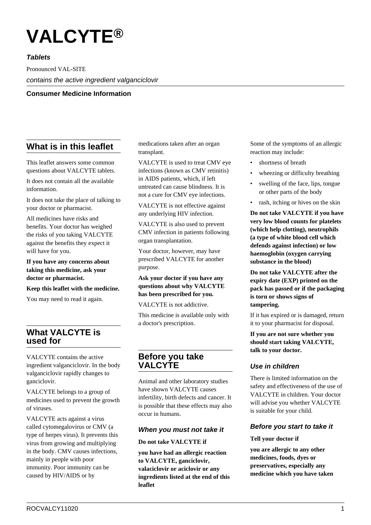# **VALCYTE®**

# **Tablets**

Pronounced VAL-SITE contains the active ingredient valganciclovir

# **Consumer Medicine Information**

# **What is in this leaflet**

This leaflet answers some common questions about VALCYTE tablets.

It does not contain all the available information.

It does not take the place of talking to your doctor or pharmacist.

All medicines have risks and benefits. Your doctor has weighed the risks of you taking VALCYTE against the benefits they expect it will have for you.

## **If you have any concerns about taking this medicine, ask your doctor or pharmacist.**

## **Keep this leaflet with the medicine.**

You may need to read it again.

# **What VALCYTE is used for**

VALCYTE contains the active ingredient valganciclovir. In the body valganciclovir rapidly changes to ganciclovir.

VALCYTE belongs to a group of medicines used to prevent the growth of viruses.

VALCYTE acts against a virus called cytomegalovirus or CMV (a type of herpes virus). It prevents this virus from growing and multiplying in the body. CMV causes infections, mainly in people with poor immunity. Poor immunity can be caused by HIV/AIDS or by

medications taken after an organ transplant.

VALCYTE is used to treat CMV eye infections (known as CMV retinitis) in AIDS patients, which, if left untreated can cause blindness. It is not a cure for CMV eye infections.

VALCYTE is not effective against any underlying HIV infection.

VALCYTE is also used to prevent CMV infection in patients following organ transplantation.

Your doctor, however, may have prescribed VALCYTE for another purpose.

# **Ask your doctor if you have any questions about why VALCYTE has been prescribed for you.**

VALCYTE is not addictive.

This medicine is available only with a doctor's prescription.

# **Before you take VALCYTE**

Animal and other laboratory studies have shown VALCYTE causes infertility, birth defects and cancer. It is possible that these effects may also occur in humans.

# **When you must not take it**

## **Do not take VALCYTE if**

**you have had an allergic reaction to VALCYTE, ganciclovir, valaciclovir or aciclovir or any ingredients listed at the end of this leaflet**

Some of the symptoms of an allergic reaction may include:

- shortness of breath
- wheezing or difficulty breathing
- swelling of the face, lips, tongue or other parts of the body
- rash, itching or hives on the skin

**Do not take VALCYTE if you have very low blood counts for platelets (which help clotting), neutrophils (a type of white blood cell which defends against infection) or low haemoglobin (oxygen carrying substance in the blood)**

**Do not take VALCYTE after the expiry date (EXP) printed on the pack has passed or if the packaging is torn or shows signs of tampering.**

If it has expired or is damaged, return it to your pharmacist for disposal.

**If you are not sure whether you should start taking VALCYTE, talk to your doctor.**

# **Use in children**

There is limited information on the safety and effectiveness of the use of VALCYTE in children. Your doctor will advise you whether VALCYTE is suitable for your child.

# **Before you start to take it**

## **Tell your doctor if**

**you are allergic to any other medicines, foods, dyes or preservatives, especially any medicine which you have taken**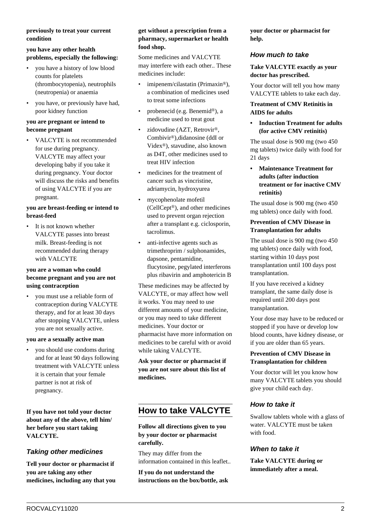## **previously to treat your current condition**

## **you have any other health problems, especially the following:**

- you have a history of low blood counts for platelets (thrombocytopenia), neutrophils (neutropenia) or anaemia
- you have, or previously have had, poor kidney function

## **you are pregnant or intend to become pregnant**

• VALCYTE is not recommended for use during pregnancy. VALCYTE may affect your developing baby if you take it during pregnancy. Your doctor will discuss the risks and benefits of using VALCYTE if you are pregnant.

## **you are breast-feeding or intend to breast-feed**

It is not known whether VALCYTE passes into breast milk. Breast-feeding is not recommended during therapy with VALCYTE

## **you are a woman who could become pregnant and you are not using contraception**

• you must use a reliable form of contraception during VALCYTE therapy, and for at least 30 days after stopping VALCYTE, unless you are not sexually active.

#### **you are a sexually active man**

• you should use condoms during and for at least 90 days following treatment with VALCYTE unless it is certain that your female partner is not at risk of pregnancy.

**If you have not told your doctor about any of the above, tell him/ her before you start taking VALCYTE.**

# **Taking other medicines**

**Tell your doctor or pharmacist if you are taking any other medicines, including any that you**

### **get without a prescription from a pharmacy, supermarket or health food shop.**

Some medicines and VALCYTE may interfere with each other.. These medicines include:

- imipenem/cilastatin (Primaxin®), a combination of medicines used to treat some infections
- probenecid (e.g. Benemid®), a medicine used to treat gout
- zidovudine (AZT, Retrovir®, Combivir®),didanosine (ddI or Videx®), stavudine, also known as D4T, other medicines used to treat HIV infection
- medicines for the treatment of cancer such as vincristine, adriamycin, hydroxyurea
- mycophenolate mofetil (CellCept®), and other medicines used to prevent organ rejection after a transplant e.g. ciclosporin, tacrolimus.
- anti-infective agents such as trimethroprim / sulphonamides, dapsone, pentamidine, flucytosine, pegylated interferons plus ribavirin and amphotericin B

These medicines may be affected by VALCYTE, or may affect how well it works. You may need to use different amounts of your medicine, or you may need to take different medicines. Your doctor or pharmacist have more information on medicines to be careful with or avoid while taking VALCYTE.

**Ask your doctor or pharmacist if you are not sure about this list of medicines.**

# **How to take VALCYTE**

# **Follow all directions given to you by your doctor or pharmacist carefully.**

They may differ from the information contained in this leaflet..

**If you do not understand the instructions on the box/bottle, ask** **your doctor or pharmacist for help.**

# **How much to take**

**Take VALCYTE exactly as your doctor has prescribed.**

Your doctor will tell you how many VALCYTE tablets to take each day.

## **Treatment of CMV Retinitis in AIDS for adults**

**• Induction Treatment for adults (for active CMV retinitis)**

The usual dose is 900 mg (two 450 mg tablets) twice daily with food for 21 days

**• Maintenance Treatment for adults (after induction treatment or for inactive CMV retinitis)**

The usual dose is 900 mg (two 450 mg tablets) once daily with food.

# **Prevention of CMV Disease in Transplantation for adults**

The usual dose is 900 mg (two 450 mg tablets) once daily with food, starting within 10 days post transplantation until 100 days post transplantation.

If you have received a kidney transplant, the same daily dose is required until 200 days post transplantation.

Your dose may have to be reduced or stopped if you have or develop low blood counts, have kidney disease, or if you are older than 65 years.

## **Prevention of CMV Disease in Transplantation for children**

Your doctor will let you know how many VALCYTE tablets you should give your child each day.

# **How to take it**

Swallow tablets whole with a glass of water. VALCYTE must be taken with food.

# **When to take it**

**Take VALCYTE during or immediately after a meal.**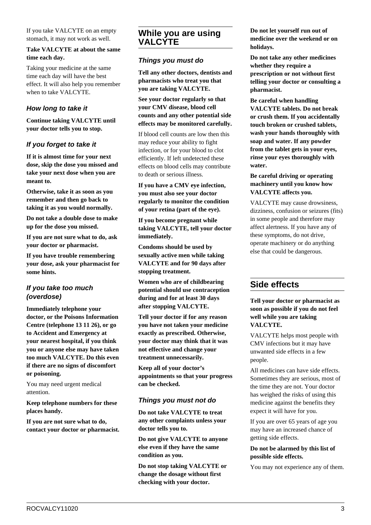If you take VALCYTE on an empty stomach, it may not work as well.

## **Take VALCYTE at about the same time each day.**

Taking your medicine at the same time each day will have the best effect. It will also help you remember when to take VALCYTE.

# **How long to take it**

**Continue taking VALCYTE until your doctor tells you to stop.**

# **If you forget to take it**

**If it is almost time for your next dose, skip the dose you missed and take your next dose when you are meant to.**

**Otherwise, take it as soon as you remember and then go back to taking it as you would normally.**

**Do not take a double dose to make up for the dose you missed.**

**If you are not sure what to do, ask your doctor or pharmacist.**

**If you have trouble remembering your dose, ask your pharmacist for some hints.**

# **If you take too much (overdose)**

**Immediately telephone your doctor, or the Poisons Information Centre (telephone 13 11 26), or go to Accident and Emergency at your nearest hospital, if you think you or anyone else may have taken too much VALCYTE. Do this even if there are no signs of discomfort or poisoning.**

You may need urgent medical attention.

**Keep telephone numbers for these places handy.**

**If you are not sure what to do, contact your doctor or pharmacist.**

# **While you are using VALCYTE**

# **Things you must do**

**Tell any other doctors, dentists and pharmacists who treat you that you are taking VALCYTE.**

**See your doctor regularly so that your CMV disease, blood cell counts and any other potential side effects may be monitored carefully.**

If blood cell counts are low then this may reduce your ability to fight infection, or for your blood to clot efficiently. If left undetected these effects on blood cells may contribute to death or serious illness.

**If you have a CMV eye infection, you must also see your doctor regularly to monitor the condition of your retina (part of the eye).**

**If you become pregnant while taking VALCYTE, tell your doctor immediately.**

**Condoms should be used by sexually active men while taking VALCYTE and for 90 days after stopping treatment.**

**Women who are of childbearing potential should use contraception during and for at least 30 days after stopping VALCYTE.**

**Tell your doctor if for any reason you have not taken your medicine exactly as prescribed. Otherwise, your doctor may think that it was not effective and change your treatment unnecessarily.**

**Keep all of your doctor's appointments so that your progress can be checked.**

# **Things you must not do**

**Do not take VALCYTE to treat any other complaints unless your doctor tells you to.**

**Do not give VALCYTE to anyone else even if they have the same condition as you.**

**Do not stop taking VALCYTE or change the dosage without first checking with your doctor.**

**Do not let yourself run out of medicine over the weekend or on holidays.**

**Do not take any other medicines whether they require a prescription or not without first telling your doctor or consulting a pharmacist.**

**Be careful when handling VALCYTE tablets. Do not break or crush them. If you accidentally touch broken or crushed tablets, wash your hands thoroughly with soap and water. If any powder from the tablet gets in your eyes, rinse your eyes thoroughly with water.**

# **Be careful driving or operating machinery until you know how VALCYTE affects you.**

VALCYTE may cause drowsiness, dizziness, confusion or seizures (fits) in some people and therefore may affect alertness. If you have any of these symptoms, do not drive, operate machinery or do anything else that could be dangerous.

# **Side effects**

**Tell your doctor or pharmacist as soon as possible if you do not feel well while you are taking VALCYTE.**

VALCYTE helps most people with CMV infections but it may have unwanted side effects in a few people.

All medicines can have side effects. Sometimes they are serious, most of the time they are not. Your doctor has weighed the risks of using this medicine against the benefits they expect it will have for you.

If you are over 65 years of age you may have an increased chance of getting side effects.

# **Do not be alarmed by this list of possible side effects.**

You may not experience any of them.